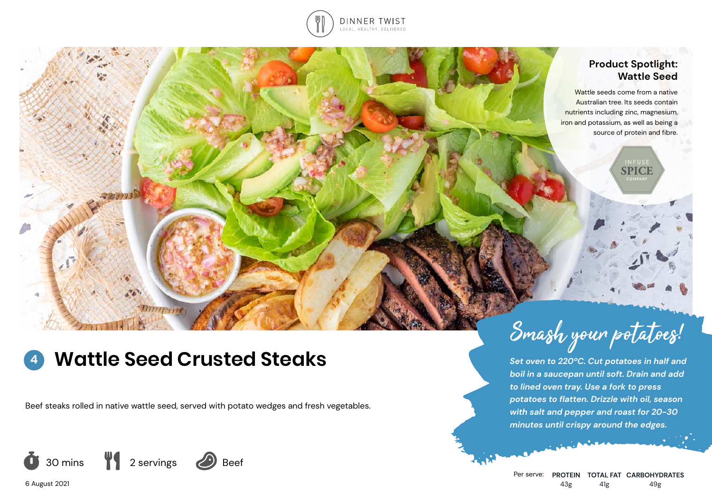

## **Product Spotlight: Wattle Seed**

**SPICE** 

Wattle seeds come from a native Australian tree. Its seeds contain nutrients including zinc, magnesium, iron and potassium, as well as being a source of protein and fibre.

### **Wattle Seed Crusted Steaks 4**

 $111111111$ 

Beef steaks rolled in native wattle seed, served with potato wedges and fresh vegetables.



6 August 2021



*Set oven to 220ºC. Cut potatoes in half and boil in a saucepan until soft. Drain and add to lined oven tray. Use a fork to press potatoes to flatten. Drizzle with oil, season with salt and pepper and roast for 20-30 minutes until crispy around the edges.*